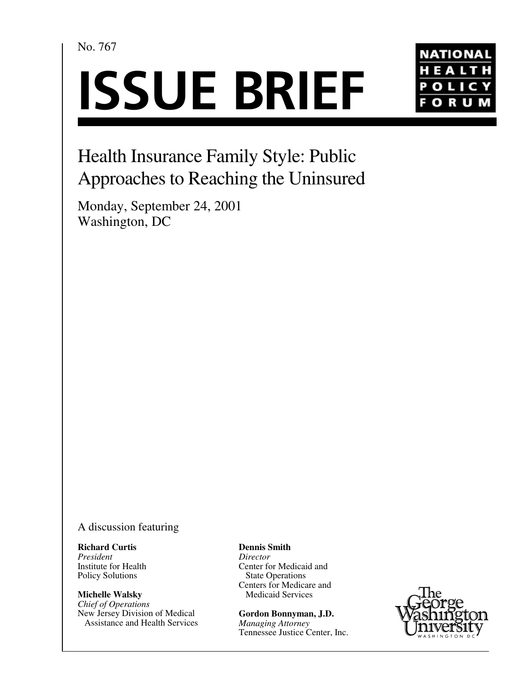No. 767

# **ISSUE BRIEF**



## Health Insurance Family Style: Public Approaches to Reaching the Uninsured

Monday, September 24, 2001 Washington, DC

A discussion featuring

**Richard Curtis** *President* Institute for Health Policy Solutions

**Michelle Walsky** *Chief of Operations* New Jersey Division of Medical Assistance and Health Services **Dennis Smith**

*Director* Center for Medicaid and State Operations Centers for Medicare and Medicaid Services

**Gordon Bonnyman, J.D.** *Managing Attorney* Tennessee Justice Center, Inc.

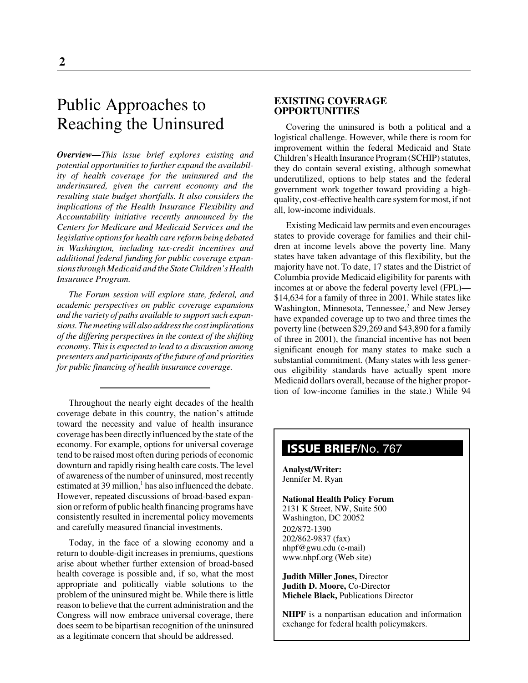### Public Approaches to Reaching the Uninsured

*Overview—This issue brief explores existing and potential opportunities to further expand the availability of health coverage for the uninsured and the underinsured, given the current economy and the resulting state budget shortfalls. It also considers the implications of the Health Insurance Flexibility and Accountability initiative recently announced by the Centers for Medicare and Medicaid Services and the legislative options for health care reform being debated in Washington, including tax-credit incentives and additional federal funding for public coverage expansions through Medicaid and the State Children's Health Insurance Program.*

*The Forum session will explore state, federal, and academic perspectives on public coverage expansions and the variety of paths available to support such expansions. The meeting will also address the cost implications of the differing perspectives in the context of the shifting economy. This is expected to lead to a discussion among presenters and participants of the future of and priorities for public financing of health insurance coverage.*

Throughout the nearly eight decades of the health coverage debate in this country, the nation's attitude toward the necessity and value of health insurance coverage has been directly influenced by the state of the economy. For example, options for universal coverage tend to be raised most often during periods of economic downturn and rapidly rising health care costs. The level of awareness of the number of uninsured, most recently estimated at 39 million,<sup>1</sup> has also influenced the debate. However, repeated discussions of broad-based expansion or reform of public health financing programs have consistently resulted in incremental policy movements and carefully measured financial investments.

Today, in the face of a slowing economy and a return to double-digit increases in premiums, questions arise about whether further extension of broad-based health coverage is possible and, if so, what the most appropriate and politically viable solutions to the problem of the uninsured might be. While there is little reason to believe that the current administration and the Congress will now embrace universal coverage, there does seem to be bipartisan recognition of the uninsured as a legitimate concern that should be addressed.

#### **EXISTING COVERAGE OPPORTUNITIES**

Covering the uninsured is both a political and a logistical challenge. However, while there is room for improvement within the federal Medicaid and State Children's Health Insurance Program (SCHIP) statutes, they do contain several existing, although somewhat underutilized, options to help states and the federal government work together toward providing a highquality, cost-effective health care system for most, if not all, low-income individuals.

Existing Medicaid law permits and even encourages states to provide coverage for families and their children at income levels above the poverty line. Many states have taken advantage of this flexibility, but the majority have not. To date, 17 states and the District of Columbia provide Medicaid eligibility for parents with incomes at or above the federal poverty level (FPL)— \$14,634 for a family of three in 2001. While states like Washington, Minnesota, Tennessee,<sup>2</sup> and New Jersey have expanded coverage up to two and three times the poverty line (between \$29,269 and \$43,890 for a family of three in 2001), the financial incentive has not been significant enough for many states to make such a substantial commitment. (Many states with less generous eligibility standards have actually spent more Medicaid dollars overall, because of the higher proportion of low-income families in the state.) While 94

#### **ISSUE BRIEF**/No. 767

**Analyst/Writer:** Jennifer M. Ryan

#### **National Health Policy Forum** 2131 K Street, NW, Suite 500

Washington, DC 20052 202/872-1390 202/862-9837 (fax) nhpf@gwu.edu (e-mail) www.nhpf.org (Web site)

**Judith Miller Jones,** Director **Judith D. Moore,** Co-Director **Michele Black,** Publications Director

**NHPF** is a nonpartisan education and information exchange for federal health policymakers.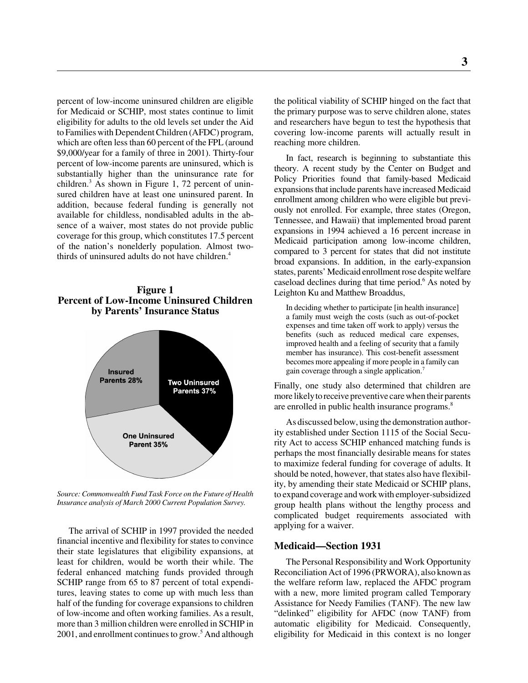percent of low-income uninsured children are eligible for Medicaid or SCHIP, most states continue to limit eligibility for adults to the old levels set under the Aid to Families with Dependent Children (AFDC) program, which are often less than 60 percent of the FPL (around \$9,000/year for a family of three in 2001). Thirty-four percent of low-income parents are uninsured, which is substantially higher than the uninsurance rate for children.3 As shown in Figure 1, 72 percent of uninsured children have at least one uninsured parent. In addition, because federal funding is generally not available for childless, nondisabled adults in the absence of a waiver, most states do not provide public coverage for this group, which constitutes 17.5 percent of the nation's nonelderly population. Almost twothirds of uninsured adults do not have children.<sup>4</sup>

#### **Figure 1 Percent of Low-Income Uninsured Children by Parents' Insurance Status**



*Source: Commonwealth Fund Task Force on the Future of Health Insurance analysis of March 2000 Current Population Survey.*

The arrival of SCHIP in 1997 provided the needed financial incentive and flexibility for states to convince their state legislatures that eligibility expansions, at least for children, would be worth their while. The federal enhanced matching funds provided through SCHIP range from 65 to 87 percent of total expenditures, leaving states to come up with much less than half of the funding for coverage expansions to children of low-income and often working families. As a result, more than 3 million children were enrolled in SCHIP in 2001, and enrollment continues to grow.<sup>5</sup> And although

the political viability of SCHIP hinged on the fact that the primary purpose was to serve children alone, states and researchers have begun to test the hypothesis that covering low-income parents will actually result in reaching more children.

In fact, research is beginning to substantiate this theory. A recent study by the Center on Budget and Policy Priorities found that family-based Medicaid expansions that include parents have increased Medicaid enrollment among children who were eligible but previously not enrolled. For example, three states (Oregon, Tennessee, and Hawaii) that implemented broad parent expansions in 1994 achieved a 16 percent increase in Medicaid participation among low-income children, compared to 3 percent for states that did not institute broad expansions. In addition, in the early-expansion states, parents' Medicaid enrollment rose despite welfare caseload declines during that time period.<sup>6</sup> As noted by Leighton Ku and Matthew Broaddus,

 In deciding whether to participate [in health insurance] a family must weigh the costs (such as out-of-pocket expenses and time taken off work to apply) versus the benefits (such as reduced medical care expenses, improved health and a feeling of security that a family member has insurance). This cost-benefit assessment becomes more appealing if more people in a family can gain coverage through a single application.7

Finally, one study also determined that children are more likely to receive preventive care when their parents are enrolled in public health insurance programs.<sup>8</sup>

As discussed below, using the demonstration authority established under Section 1115 of the Social Security Act to access SCHIP enhanced matching funds is perhaps the most financially desirable means for states to maximize federal funding for coverage of adults. It should be noted, however, that states also have flexibility, by amending their state Medicaid or SCHIP plans, to expand coverage and work with employer-subsidized group health plans without the lengthy process and complicated budget requirements associated with applying for a waiver.

#### **Medicaid—Section 1931**

The Personal Responsibility and Work Opportunity Reconciliation Act of 1996 (PRWORA), also known as the welfare reform law, replaced the AFDC program with a new, more limited program called Temporary Assistance for Needy Families (TANF). The new law "delinked" eligibility for AFDC (now TANF) from automatic eligibility for Medicaid. Consequently, eligibility for Medicaid in this context is no longer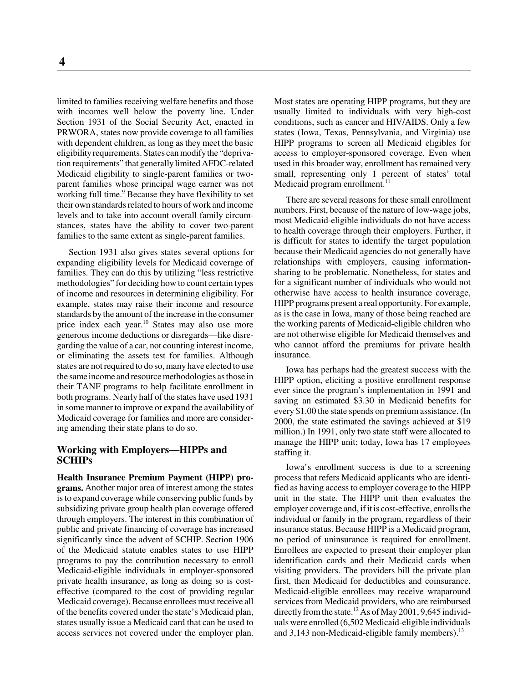limited to families receiving welfare benefits and those with incomes well below the poverty line. Under Section 1931 of the Social Security Act, enacted in PRWORA, states now provide coverage to all families with dependent children, as long as they meet the basic eligibility requirements. States can modify the "deprivation requirements" that generally limited AFDC-related Medicaid eligibility to single-parent families or twoparent families whose principal wage earner was not working full time.<sup>9</sup> Because they have flexibility to set their own standards related to hours of work and income levels and to take into account overall family circumstances, states have the ability to cover two-parent families to the same extent as single-parent families.

Section 1931 also gives states several options for expanding eligibility levels for Medicaid coverage of families. They can do this by utilizing "less restrictive methodologies" for deciding how to count certain types of income and resources in determining eligibility. For example, states may raise their income and resource standards by the amount of the increase in the consumer price index each year.<sup>10</sup> States may also use more generous income deductions or disregards—like disregarding the value of a car, not counting interest income, or eliminating the assets test for families. Although states are not required to do so, many have elected to use the same income and resource methodologies as those in their TANF programs to help facilitate enrollment in both programs. Nearly half of the states have used 1931 in some manner to improve or expand the availability of Medicaid coverage for families and more are considering amending their state plans to do so.

#### **Working with Employers—HIPPs and SCHIPs**

**Health Insurance Premium Payment (HIPP) programs.** Another major area of interest among the states is to expand coverage while conserving public funds by subsidizing private group health plan coverage offered through employers. The interest in this combination of public and private financing of coverage has increased significantly since the advent of SCHIP. Section 1906 of the Medicaid statute enables states to use HIPP programs to pay the contribution necessary to enroll Medicaid-eligible individuals in employer-sponsored private health insurance, as long as doing so is costeffective (compared to the cost of providing regular Medicaid coverage). Because enrollees must receive all of the benefits covered under the state's Medicaid plan, states usually issue a Medicaid card that can be used to access services not covered under the employer plan.

Most states are operating HIPP programs, but they are usually limited to individuals with very high-cost conditions, such as cancer and HIV/AIDS. Only a few states (Iowa, Texas, Pennsylvania, and Virginia) use HIPP programs to screen all Medicaid eligibles for access to employer-sponsored coverage. Even when used in this broader way, enrollment has remained very small, representing only 1 percent of states' total Medicaid program enrollment. $11$ 

There are several reasons for these small enrollment numbers. First, because of the nature of low-wage jobs, most Medicaid-eligible individuals do not have access to health coverage through their employers. Further, it is difficult for states to identify the target population because their Medicaid agencies do not generally have relationships with employers, causing informationsharing to be problematic. Nonetheless, for states and for a significant number of individuals who would not otherwise have access to health insurance coverage, HIPP programs present a real opportunity. For example, as is the case in Iowa, many of those being reached are the working parents of Medicaid-eligible children who are not otherwise eligible for Medicaid themselves and who cannot afford the premiums for private health insurance.

Iowa has perhaps had the greatest success with the HIPP option, eliciting a positive enrollment response ever since the program's implementation in 1991 and saving an estimated \$3.30 in Medicaid benefits for every \$1.00 the state spends on premium assistance. (In 2000, the state estimated the savings achieved at \$19 million.) In 1991, only two state staff were allocated to manage the HIPP unit; today, Iowa has 17 employees staffing it.

Iowa's enrollment success is due to a screening process that refers Medicaid applicants who are identified as having access to employer coverage to the HIPP unit in the state. The HIPP unit then evaluates the employer coverage and, if it is cost-effective, enrolls the individual or family in the program, regardless of their insurance status. Because HIPP is a Medicaid program, no period of uninsurance is required for enrollment. Enrollees are expected to present their employer plan identification cards and their Medicaid cards when visiting providers. The providers bill the private plan first, then Medicaid for deductibles and coinsurance. Medicaid-eligible enrollees may receive wraparound services from Medicaid providers, who are reimbursed directly from the state.<sup>12</sup> As of May 2001, 9,645 individuals were enrolled (6,502 Medicaid-eligible individuals and 3,143 non-Medicaid-eligible family members). $^{13}$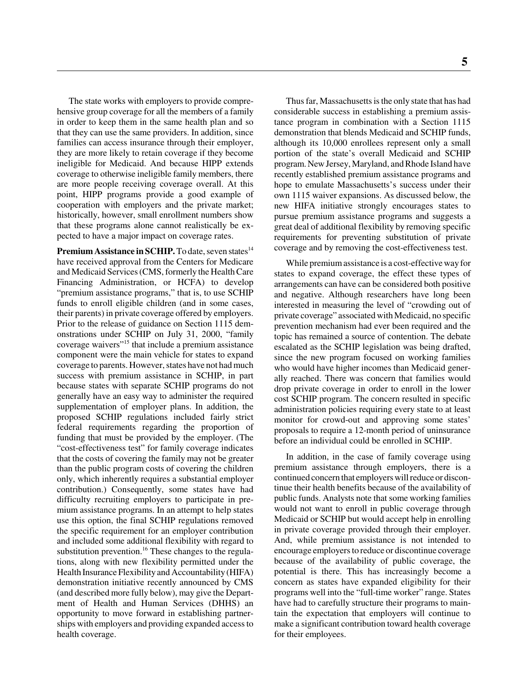The state works with employers to provide comprehensive group coverage for all the members of a family in order to keep them in the same health plan and so that they can use the same providers. In addition, since families can access insurance through their employer, they are more likely to retain coverage if they become ineligible for Medicaid. And because HIPP extends coverage to otherwise ineligible family members, there are more people receiving coverage overall. At this point, HIPP programs provide a good example of cooperation with employers and the private market; historically, however, small enrollment numbers show that these programs alone cannot realistically be expected to have a major impact on coverage rates.

**Premium Assistance in SCHIP.** To date, seven states<sup>14</sup> have received approval from the Centers for Medicare and Medicaid Services (CMS, formerly the Health Care Financing Administration, or HCFA) to develop "premium assistance programs," that is, to use SCHIP funds to enroll eligible children (and in some cases, their parents) in private coverage offered by employers. Prior to the release of guidance on Section 1115 demonstrations under SCHIP on July 31, 2000, "family coverage waivers"15 that include a premium assistance component were the main vehicle for states to expand coverage to parents. However, states have not had much success with premium assistance in SCHIP, in part because states with separate SCHIP programs do not generally have an easy way to administer the required supplementation of employer plans. In addition, the proposed SCHIP regulations included fairly strict federal requirements regarding the proportion of funding that must be provided by the employer. (The "cost-effectiveness test" for family coverage indicates that the costs of covering the family may not be greater than the public program costs of covering the children only, which inherently requires a substantial employer contribution.) Consequently, some states have had difficulty recruiting employers to participate in premium assistance programs. In an attempt to help states use this option, the final SCHIP regulations removed the specific requirement for an employer contribution and included some additional flexibility with regard to substitution prevention.<sup>16</sup> These changes to the regulations, along with new flexibility permitted under the Health Insurance Flexibility and Accountability (HIFA) demonstration initiative recently announced by CMS (and described more fully below), may give the Department of Health and Human Services (DHHS) an opportunity to move forward in establishing partnerships with employers and providing expanded access to health coverage.

Thus far, Massachusetts is the only state that has had considerable success in establishing a premium assistance program in combination with a Section 1115 demonstration that blends Medicaid and SCHIP funds, although its 10,000 enrollees represent only a small portion of the state's overall Medicaid and SCHIP program. New Jersey, Maryland, and Rhode Island have recently established premium assistance programs and hope to emulate Massachusetts's success under their own 1115 waiver expansions. As discussed below, the new HIFA initiative strongly encourages states to pursue premium assistance programs and suggests a great deal of additional flexibility by removing specific requirements for preventing substitution of private coverage and by removing the cost-effectiveness test.

While premium assistance is a cost-effective way for states to expand coverage, the effect these types of arrangements can have can be considered both positive and negative. Although researchers have long been interested in measuring the level of "crowding out of private coverage" associated with Medicaid, no specific prevention mechanism had ever been required and the topic has remained a source of contention. The debate escalated as the SCHIP legislation was being drafted, since the new program focused on working families who would have higher incomes than Medicaid generally reached. There was concern that families would drop private coverage in order to enroll in the lower cost SCHIP program. The concern resulted in specific administration policies requiring every state to at least monitor for crowd-out and approving some states' proposals to require a 12-month period of uninsurance before an individual could be enrolled in SCHIP.

In addition, in the case of family coverage using premium assistance through employers, there is a continued concern that employers will reduce or discontinue their health benefits because of the availability of public funds. Analysts note that some working families would not want to enroll in public coverage through Medicaid or SCHIP but would accept help in enrolling in private coverage provided through their employer. And, while premium assistance is not intended to encourage employers to reduce or discontinue coverage because of the availability of public coverage, the potential is there. This has increasingly become a concern as states have expanded eligibility for their programs well into the "full-time worker" range. States have had to carefully structure their programs to maintain the expectation that employers will continue to make a significant contribution toward health coverage for their employees.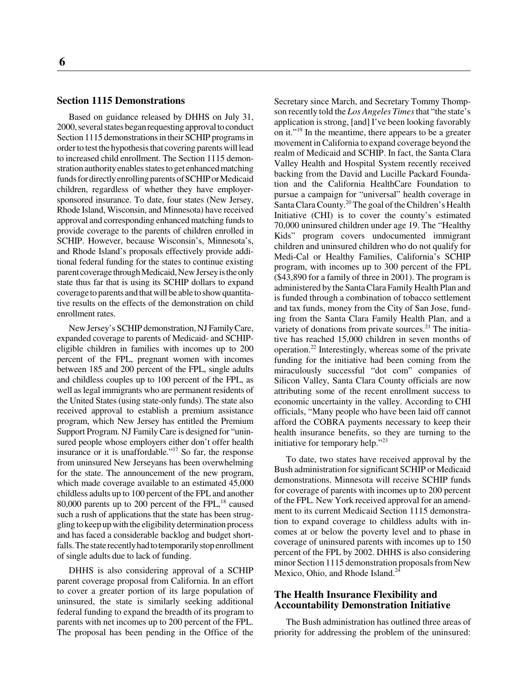#### **Section 1115 Demonstrations**

Based on guidance released by DHHS on July 31, 2000, several states began requesting approval to conduct Section 1115 demonstrations in their SCHIP programs in order to test the hypothesis that covering parents will lead to increased child enrollment. The Section 1115 demonstration authority enables states to get enhanced matching funds for directly enrolling parents of SCHIP or Medicaid children, regardless of whether they have employersponsored insurance. To date, four states (New Jersey, Rhode Island, Wisconsin, and Minnesota) have received approval and corresponding enhanced matching funds to provide coverage to the parents of children enrolled in SCHIP. However, because Wisconsin's, Minnesota's, and Rhode Island's proposals effectively provide additional federal funding for the states to continue existing parent coverage through Medicaid, New Jersey is the only state thus far that is using its SCHIP dollars to expand coverage to parents and that will be able to show quantitative results on the effects of the demonstration on child enrollment rates.

New Jersey's SCHIP demonstration, NJ Family Care, expanded coverage to parents of Medicaid- and SCHIPeligible children in families with incomes up to 200 percent of the FPL, pregnant women with incomes between 185 and 200 percent of the FPL, single adults and childless couples up to 100 percent of the FPL, as well as legal immigrants who are permanent residents of the United States (using state-only funds). The state also received approval to establish a premium assistance program, which New Jersey has entitled the Premium Support Program. NJ Family Care is designed for "uninsured people whose employers either don't offer health insurance or it is unaffordable."17 So far, the response from uninsured New Jerseyans has been overwhelming for the state. The announcement of the new program, which made coverage available to an estimated 45,000 childless adults up to 100 percent of the FPL and another 80,000 parents up to 200 percent of the FPL, $^{18}$  caused such a rush of applications that the state has been struggling to keep up with the eligibility determination process and has faced a considerable backlog and budget shortfalls. The state recently had to temporarily stop enrollment of single adults due to lack of funding.

DHHS is also considering approval of a SCHIP parent coverage proposal from California. In an effort to cover a greater portion of its large population of uninsured, the state is similarly seeking additional federal funding to expand the breadth of its program to parents with net incomes up to 200 percent of the FPL. The proposal has been pending in the Office of the Secretary since March, and Secretary Tommy Thompson recently told the *Los Angeles Times* that "the state's application is strong, [and] I've been looking favorably on it."19 In the meantime, there appears to be a greater movement in California to expand coverage beyond the realm of Medicaid and SCHIP. In fact, the Santa Clara Valley Health and Hospital System recently received backing from the David and Lucille Packard Foundation and the California HealthCare Foundation to pursue a campaign for "universal" health coverage in Santa Clara County.<sup>20</sup> The goal of the Children's Health Initiative (CHI) is to cover the county's estimated 70,000 uninsured children under age 19. The "Healthy Kids" program covers undocumented immigrant children and uninsured children who do not qualify for Medi-Cal or Healthy Families, California's SCHIP program, with incomes up to 300 percent of the FPL (\$43,890 for a family of three in 2001). The program is administered by the Santa Clara Family Health Plan and is funded through a combination of tobacco settlement and tax funds, money from the City of San Jose, funding from the Santa Clara Family Health Plan, and a variety of donations from private sources. $^{21}$  The initiative has reached 15,000 children in seven months of operation.<sup>22</sup> Interestingly, whereas some of the private funding for the initiative had been coming from the miraculously successful "dot com" companies of Silicon Valley, Santa Clara County officials are now attributing some of the recent enrollment success to economic uncertainty in the valley. According to CHI officials, "Many people who have been laid off cannot afford the COBRA payments necessary to keep their health insurance benefits, so they are turning to the initiative for temporary help."<sup>23</sup>

To date, two states have received approval by the Bush administration for significant SCHIP or Medicaid demonstrations. Minnesota will receive SCHIP funds for coverage of parents with incomes up to 200 percent of the FPL. New York received approval for an amendment to its current Medicaid Section 1115 demonstration to expand coverage to childless adults with incomes at or below the poverty level and to phase in coverage of uninsured parents with incomes up to 150 percent of the FPL by 2002. DHHS is also considering minor Section 1115 demonstration proposals from New Mexico, Ohio, and Rhode Island.<sup>24</sup>

#### **The Health Insurance Flexibility and Accountability Demonstration Initiative**

The Bush administration has outlined three areas of priority for addressing the problem of the uninsured: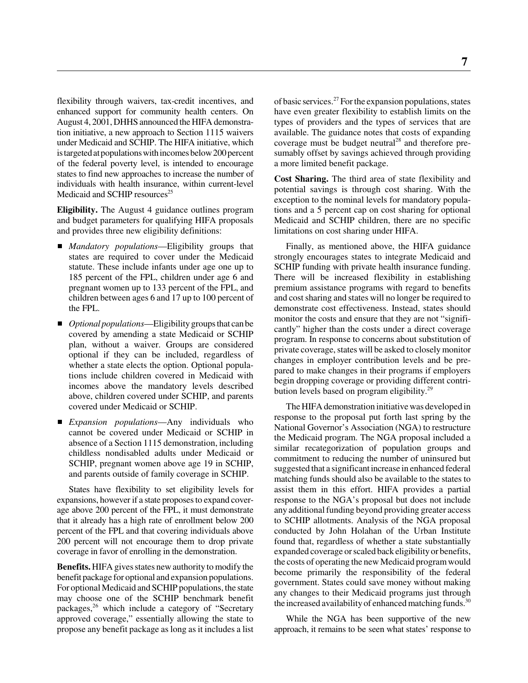flexibility through waivers, tax-credit incentives, and enhanced support for community health centers. On August 4, 2001, DHHS announced the HIFA demonstration initiative, a new approach to Section 1115 waivers under Medicaid and SCHIP. The HIFA initiative, which is targeted at populations with incomes below 200 percent of the federal poverty level, is intended to encourage states to find new approaches to increase the number of individuals with health insurance, within current-level Medicaid and SCHIP resources<sup>25</sup>

**Eligibility.** The August 4 guidance outlines program and budget parameters for qualifying HIFA proposals and provides three new eligibility definitions:

- *Mandatory populations*—Eligibility groups that states are required to cover under the Medicaid statute. These include infants under age one up to 185 percent of the FPL, children under age 6 and pregnant women up to 133 percent of the FPL, and children between ages 6 and 17 up to 100 percent of the FPL.
- *Optional populations*—Eligibility groups that can be covered by amending a state Medicaid or SCHIP plan, without a waiver. Groups are considered optional if they can be included, regardless of whether a state elects the option. Optional populations include children covered in Medicaid with incomes above the mandatory levels described above, children covered under SCHIP, and parents covered under Medicaid or SCHIP.
- *Expansion populations*—Any individuals who cannot be covered under Medicaid or SCHIP in absence of a Section 1115 demonstration, including childless nondisabled adults under Medicaid or SCHIP, pregnant women above age 19 in SCHIP, and parents outside of family coverage in SCHIP.

States have flexibility to set eligibility levels for expansions, however if a state proposes to expand coverage above 200 percent of the FPL, it must demonstrate that it already has a high rate of enrollment below 200 percent of the FPL and that covering individuals above 200 percent will not encourage them to drop private coverage in favor of enrolling in the demonstration.

**Benefits.** HIFA gives states new authority to modify the benefit package for optional and expansion populations. For optional Medicaid and SCHIP populations, the state may choose one of the SCHIP benchmark benefit packages,26 which include a category of "Secretary approved coverage," essentially allowing the state to propose any benefit package as long as it includes a list of basic services.<sup>27</sup> For the expansion populations, states have even greater flexibility to establish limits on the types of providers and the types of services that are available. The guidance notes that costs of expanding coverage must be budget neutral<sup>28</sup> and therefore presumably offset by savings achieved through providing a more limited benefit package.

**Cost Sharing.** The third area of state flexibility and potential savings is through cost sharing. With the exception to the nominal levels for mandatory populations and a 5 percent cap on cost sharing for optional Medicaid and SCHIP children, there are no specific limitations on cost sharing under HIFA.

Finally, as mentioned above, the HIFA guidance strongly encourages states to integrate Medicaid and SCHIP funding with private health insurance funding. There will be increased flexibility in establishing premium assistance programs with regard to benefits and cost sharing and states will no longer be required to demonstrate cost effectiveness. Instead, states should monitor the costs and ensure that they are not "significantly" higher than the costs under a direct coverage program. In response to concerns about substitution of private coverage, states will be asked to closely monitor changes in employer contribution levels and be prepared to make changes in their programs if employers begin dropping coverage or providing different contribution levels based on program eligibility. $^{29}$ 

The HIFA demonstration initiative was developed in response to the proposal put forth last spring by the National Governor's Association (NGA) to restructure the Medicaid program. The NGA proposal included a similar recategorization of population groups and commitment to reducing the number of uninsured but suggested that a significant increase in enhanced federal matching funds should also be available to the states to assist them in this effort. HIFA provides a partial response to the NGA's proposal but does not include any additional funding beyond providing greater access to SCHIP allotments. Analysis of the NGA proposal conducted by John Holahan of the Urban Institute found that, regardless of whether a state substantially expanded coverage or scaled back eligibility or benefits, the costs of operating the new Medicaid program would become primarily the responsibility of the federal government. States could save money without making any changes to their Medicaid programs just through the increased availability of enhanced matching funds.<sup>30</sup>

While the NGA has been supportive of the new approach, it remains to be seen what states' response to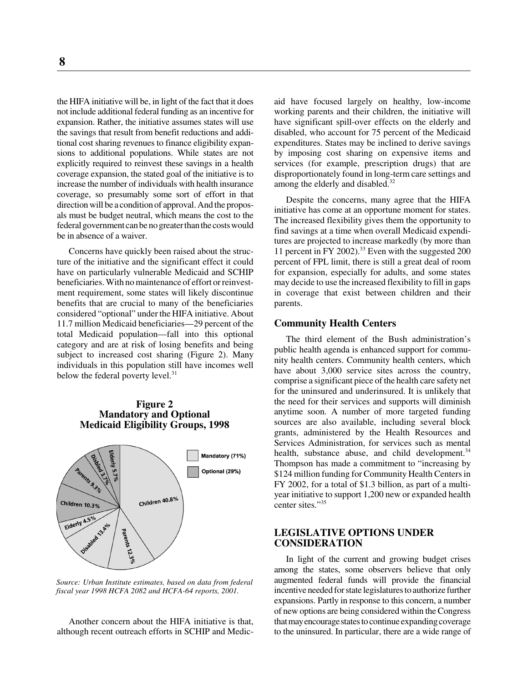the HIFA initiative will be, in light of the fact that it does not include additional federal funding as an incentive for expansion. Rather, the initiative assumes states will use the savings that result from benefit reductions and additional cost sharing revenues to finance eligibility expansions to additional populations. While states are not explicitly required to reinvest these savings in a health coverage expansion, the stated goal of the initiative is to increase the number of individuals with health insurance coverage, so presumably some sort of effort in that direction will be a condition of approval. And the proposals must be budget neutral, which means the cost to the federal government can be no greater than the costs would be in absence of a waiver.

Concerns have quickly been raised about the structure of the initiative and the significant effect it could have on particularly vulnerable Medicaid and SCHIP beneficiaries. With no maintenance of effort or reinvestment requirement, some states will likely discontinue benefits that are crucial to many of the beneficiaries considered "optional" under the HIFA initiative. About 11.7 million Medicaid beneficiaries—29 percent of the total Medicaid population—fall into this optional category and are at risk of losing benefits and being subject to increased cost sharing (Figure 2). Many individuals in this population still have incomes well below the federal poverty level. $31$ 

#### **Figure 2 Mandatory and Optional Medicaid Eligibility Groups, 1998**



*Source: Urban Institute estimates, based on data from federal fiscal year 1998 HCFA 2082 and HCFA-64 reports, 2001.*

Another concern about the HIFA initiative is that, although recent outreach efforts in SCHIP and Medicaid have focused largely on healthy, low-income working parents and their children, the initiative will have significant spill-over effects on the elderly and disabled, who account for 75 percent of the Medicaid expenditures. States may be inclined to derive savings by imposing cost sharing on expensive items and services (for example, prescription drugs) that are disproportionately found in long-term care settings and among the elderly and disabled.<sup>32</sup>

Despite the concerns, many agree that the HIFA initiative has come at an opportune moment for states. The increased flexibility gives them the opportunity to find savings at a time when overall Medicaid expenditures are projected to increase markedly (by more than 11 percent in FY 2002).<sup>33</sup> Even with the suggested 200 percent of FPL limit, there is still a great deal of room for expansion, especially for adults, and some states may decide to use the increased flexibility to fill in gaps in coverage that exist between children and their parents.

#### **Community Health Centers**

The third element of the Bush administration's public health agenda is enhanced support for community health centers. Community health centers, which have about 3,000 service sites across the country, comprise a significant piece of the health care safety net for the uninsured and underinsured. It is unlikely that the need for their services and supports will diminish anytime soon. A number of more targeted funding sources are also available, including several block grants, administered by the Health Resources and Services Administration, for services such as mental health, substance abuse, and child development. $34$ Thompson has made a commitment to "increasing by \$124 million funding for Community Health Centers in FY 2002, for a total of \$1.3 billion, as part of a multiyear initiative to support 1,200 new or expanded health center sites."<sup>35</sup>

#### **LEGISLATIVE OPTIONS UNDER CONSIDERATION**

In light of the current and growing budget crises among the states, some observers believe that only augmented federal funds will provide the financial incentive needed for state legislatures to authorize further expansions. Partly in response to this concern, a number of new options are being considered within the Congress that may encourage states to continue expanding coverage to the uninsured. In particular, there are a wide range of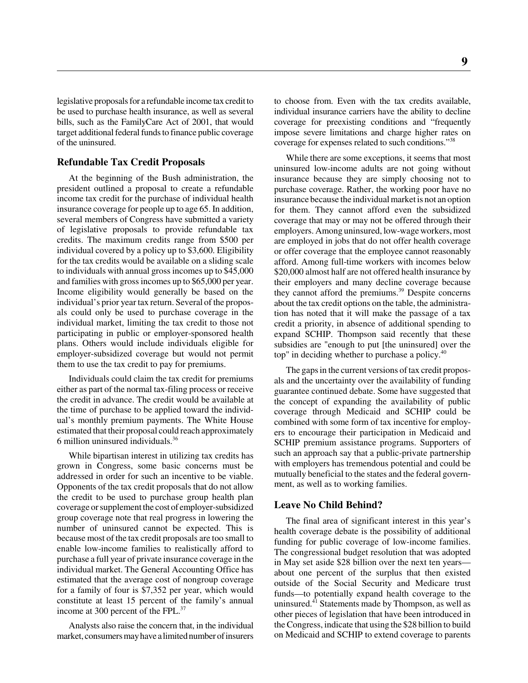legislative proposals for a refundable income tax credit to be used to purchase health insurance, as well as several bills, such as the FamilyCare Act of 2001, that would target additional federal funds to finance public coverage of the uninsured.

#### **Refundable Tax Credit Proposals**

At the beginning of the Bush administration, the president outlined a proposal to create a refundable income tax credit for the purchase of individual health insurance coverage for people up to age 65. In addition, several members of Congress have submitted a variety of legislative proposals to provide refundable tax credits. The maximum credits range from \$500 per individual covered by a policy up to \$3,600. Eligibility for the tax credits would be available on a sliding scale to individuals with annual gross incomes up to \$45,000 and families with gross incomes up to \$65,000 per year. Income eligibility would generally be based on the individual's prior year tax return. Several of the proposals could only be used to purchase coverage in the individual market, limiting the tax credit to those not participating in public or employer-sponsored health plans. Others would include individuals eligible for employer-subsidized coverage but would not permit them to use the tax credit to pay for premiums.

Individuals could claim the tax credit for premiums either as part of the normal tax-filing process or receive the credit in advance. The credit would be available at the time of purchase to be applied toward the individual's monthly premium payments. The White House estimated that their proposal could reach approximately 6 million uninsured individuals.36

While bipartisan interest in utilizing tax credits has grown in Congress, some basic concerns must be addressed in order for such an incentive to be viable. Opponents of the tax credit proposals that do not allow the credit to be used to purchase group health plan coverage or supplement the cost of employer-subsidized group coverage note that real progress in lowering the number of uninsured cannot be expected. This is because most of the tax credit proposals are too small to enable low-income families to realistically afford to purchase a full year of private insurance coverage in the individual market. The General Accounting Office has estimated that the average cost of nongroup coverage for a family of four is \$7,352 per year, which would constitute at least 15 percent of the family's annual income at 300 percent of the FPL.<sup>37</sup>

Analysts also raise the concern that, in the individual market, consumers may have a limited number of insurers

to choose from. Even with the tax credits available, individual insurance carriers have the ability to decline coverage for preexisting conditions and "frequently impose severe limitations and charge higher rates on coverage for expenses related to such conditions."38

While there are some exceptions, it seems that most uninsured low-income adults are not going without insurance because they are simply choosing not to purchase coverage. Rather, the working poor have no insurance because the individual market is not an option for them. They cannot afford even the subsidized coverage that may or may not be offered through their employers. Among uninsured, low-wage workers, most are employed in jobs that do not offer health coverage or offer coverage that the employee cannot reasonably afford. Among full-time workers with incomes below \$20,000 almost half are not offered health insurance by their employers and many decline coverage because they cannot afford the premiums.<sup>39</sup> Despite concerns about the tax credit options on the table, the administration has noted that it will make the passage of a tax credit a priority, in absence of additional spending to expand SCHIP. Thompson said recently that these subsidies are "enough to put [the uninsured] over the top" in deciding whether to purchase a policy.40

The gaps in the current versions of tax credit proposals and the uncertainty over the availability of funding guarantee continued debate. Some have suggested that the concept of expanding the availability of public coverage through Medicaid and SCHIP could be combined with some form of tax incentive for employers to encourage their participation in Medicaid and SCHIP premium assistance programs. Supporters of such an approach say that a public-private partnership with employers has tremendous potential and could be mutually beneficial to the states and the federal government, as well as to working families.

#### **Leave No Child Behind?**

The final area of significant interest in this year's health coverage debate is the possibility of additional funding for public coverage of low-income families. The congressional budget resolution that was adopted in May set aside \$28 billion over the next ten years about one percent of the surplus that then existed outside of the Social Security and Medicare trust funds—to potentially expand health coverage to the uninsured. $^{41}$  Statements made by Thompson, as well as other pieces of legislation that have been introduced in the Congress, indicate that using the \$28 billion to build on Medicaid and SCHIP to extend coverage to parents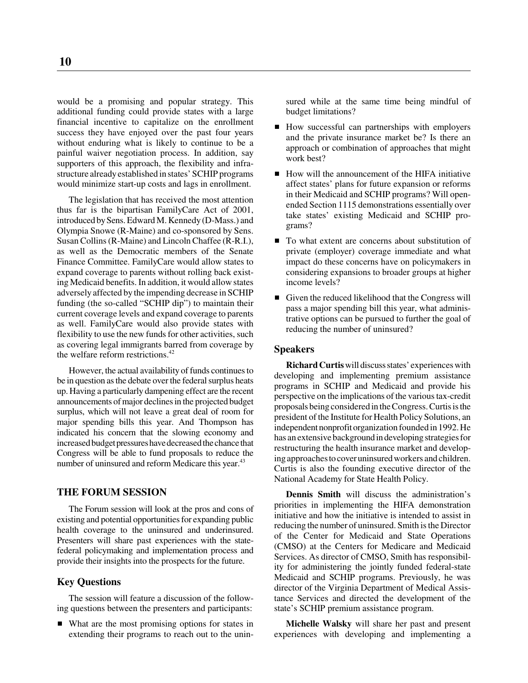would be a promising and popular strategy. This additional funding could provide states with a large financial incentive to capitalize on the enrollment success they have enjoyed over the past four years without enduring what is likely to continue to be a painful waiver negotiation process. In addition, say supporters of this approach, the flexibility and infrastructure already established in states' SCHIP programs would minimize start-up costs and lags in enrollment.

The legislation that has received the most attention thus far is the bipartisan FamilyCare Act of 2001, introduced by Sens. Edward M. Kennedy (D-Mass.) and Olympia Snowe (R-Maine) and co-sponsored by Sens. Susan Collins (R-Maine) and Lincoln Chaffee (R-R.I.), as well as the Democratic members of the Senate Finance Committee. FamilyCare would allow states to expand coverage to parents without rolling back existing Medicaid benefits. In addition, it would allow states adversely affected by the impending decrease in SCHIP funding (the so-called "SCHIP dip") to maintain their current coverage levels and expand coverage to parents as well. FamilyCare would also provide states with flexibility to use the new funds for other activities, such as covering legal immigrants barred from coverage by the welfare reform restrictions.<sup>42</sup>

However, the actual availability of funds continues to be in question as the debate over the federal surplus heats up. Having a particularly dampening effect are the recent announcements of major declines in the projected budget surplus, which will not leave a great deal of room for major spending bills this year. And Thompson has indicated his concern that the slowing economy and increased budget pressures have decreased the chance that Congress will be able to fund proposals to reduce the number of uninsured and reform Medicare this year.<sup>43</sup>

#### **THE FORUM SESSION**

The Forum session will look at the pros and cons of existing and potential opportunities for expanding public health coverage to the uninsured and underinsured. Presenters will share past experiences with the statefederal policymaking and implementation process and provide their insights into the prospects for the future.

#### **Key Questions**

The session will feature a discussion of the following questions between the presenters and participants:

■ What are the most promising options for states in extending their programs to reach out to the unin-

sured while at the same time being mindful of budget limitations?

- How successful can partnerships with employers and the private insurance market be? Is there an approach or combination of approaches that might work best?
- How will the announcement of the HIFA initiative affect states' plans for future expansion or reforms in their Medicaid and SCHIP programs? Will openended Section 1115 demonstrations essentially over take states' existing Medicaid and SCHIP programs?
- To what extent are concerns about substitution of private (employer) coverage immediate and what impact do these concerns have on policymakers in considering expansions to broader groups at higher income levels?
- Given the reduced likelihood that the Congress will pass a major spending bill this year, what administrative options can be pursued to further the goal of reducing the number of uninsured?

#### **Speakers**

**Richard Curtis** will discuss states' experiences with developing and implementing premium assistance programs in SCHIP and Medicaid and provide his perspective on the implications of the various tax-credit proposals being considered in the Congress. Curtis is the president of the Institute for Health Policy Solutions, an independent nonprofit organization founded in 1992. He has an extensive background in developing strategies for restructuring the health insurance market and developing approaches to cover uninsured workers and children. Curtis is also the founding executive director of the National Academy for State Health Policy.

**Dennis Smith** will discuss the administration's priorities in implementing the HIFA demonstration initiative and how the initiative is intended to assist in reducing the number of uninsured. Smith is the Director of the Center for Medicaid and State Operations (CMSO) at the Centers for Medicare and Medicaid Services. As director of CMSO, Smith has responsibility for administering the jointly funded federal-state Medicaid and SCHIP programs. Previously, he was director of the Virginia Department of Medical Assistance Services and directed the development of the state's SCHIP premium assistance program.

**Michelle Walsky** will share her past and present experiences with developing and implementing a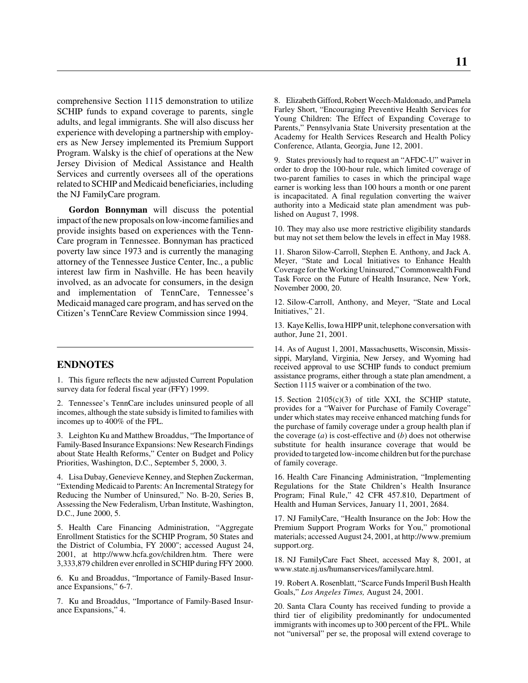comprehensive Section 1115 demonstration to utilize SCHIP funds to expand coverage to parents, single adults, and legal immigrants. She will also discuss her experience with developing a partnership with employers as New Jersey implemented its Premium Support Program. Walsky is the chief of operations at the New Jersey Division of Medical Assistance and Health Services and currently oversees all of the operations related to SCHIP and Medicaid beneficiaries, including the NJ FamilyCare program.

**Gordon Bonnyman** will discuss the potential impact of the new proposals on low-income families and provide insights based on experiences with the Tenn-Care program in Tennessee. Bonnyman has practiced poverty law since 1973 and is currently the managing attorney of the Tennessee Justice Center, Inc., a public interest law firm in Nashville. He has been heavily involved, as an advocate for consumers, in the design and implementation of TennCare, Tennessee's Medicaid managed care program, and has served on the Citizen's TennCare Review Commission since 1994.

#### **ENDNOTES**

1. This figure reflects the new adjusted Current Population survey data for federal fiscal year (FFY) 1999.

2. Tennessee's TennCare includes uninsured people of all incomes, although the state subsidy is limited to families with incomes up to 400% of the FPL.

3. Leighton Ku and Matthew Broaddus, "The Importance of Family-Based Insurance Expansions: New Research Findings about State Health Reforms," Center on Budget and Policy Priorities, Washington, D.C., September 5, 2000, 3.

4. Lisa Dubay, Genevieve Kenney, and Stephen Zuckerman, "Extending Medicaid to Parents: An Incremental Strategy for Reducing the Number of Uninsured," No. B-20, Series B, Assessing the New Federalism, Urban Institute, Washington, D.C., June 2000, 5.

5. Health Care Financing Administration, "Aggregate Enrollment Statistics for the SCHIP Program, 50 States and the District of Columbia, FY 2000"; accessed August 24, 2001, at http://www.hcfa.gov/children.htm. There were 3,333,879 children ever enrolled in SCHIP during FFY 2000.

6. Ku and Broaddus, "Importance of Family-Based Insurance Expansions," 6-7.

7. Ku and Broaddus, "Importance of Family-Based Insurance Expansions," 4.

8. Elizabeth Gifford, Robert Weech-Maldonado, and Pamela Farley Short, "Encouraging Preventive Health Services for Young Children: The Effect of Expanding Coverage to Parents," Pennsylvania State University presentation at the Academy for Health Services Research and Health Policy Conference, Atlanta, Georgia, June 12, 2001.

9. States previously had to request an "AFDC-U" waiver in order to drop the 100-hour rule, which limited coverage of two-parent families to cases in which the principal wage earner is working less than 100 hours a month or one parent is incapacitated. A final regulation converting the waiver authority into a Medicaid state plan amendment was published on August 7, 1998.

10. They may also use more restrictive eligibility standards but may not set them below the levels in effect in May 1988.

11. Sharon Silow-Carroll, Stephen E. Anthony, and Jack A. Meyer, "State and Local Initiatives to Enhance Health Coverage for the Working Uninsured," Commonwealth Fund Task Force on the Future of Health Insurance, New York, November 2000, 20.

12. Silow-Carroll, Anthony, and Meyer, "State and Local Initiatives," 21.

13. Kaye Kellis, Iowa HIPP unit, telephone conversation with author, June 21, 2001.

14. As of August 1, 2001, Massachusetts, Wisconsin, Mississippi, Maryland, Virginia, New Jersey, and Wyoming had received approval to use SCHIP funds to conduct premium assistance programs, either through a state plan amendment, a Section 1115 waiver or a combination of the two.

15. Section 2105(c)(3) of title XXI, the SCHIP statute, provides for a "Waiver for Purchase of Family Coverage" under which states may receive enhanced matching funds for the purchase of family coverage under a group health plan if the coverage (*a*) is cost-effective and (*b*) does not otherwise substitute for health insurance coverage that would be provided to targeted low-income children but for the purchase of family coverage.

16. Health Care Financing Administration, "Implementing Regulations for the State Children's Health Insurance Program; Final Rule," 42 CFR 457.810, Department of Health and Human Services, January 11, 2001, 2684.

17. NJ FamilyCare, "Health Insurance on the Job: How the Premium Support Program Works for You," promotional materials; accessed August 24, 2001, at http://www.premium support.org.

18. NJ FamilyCare Fact Sheet, accessed May 8, 2001, at www.state.nj.us/humanservices/familycare.html.

19. Robert A. Rosenblatt, "Scarce Funds Imperil Bush Health Goals," *Los Angeles Times,* August 24, 2001.

20. Santa Clara County has received funding to provide a third tier of eligibility predominantly for undocumented immigrants with incomes up to 300 percent of the FPL. While not "universal" per se, the proposal will extend coverage to